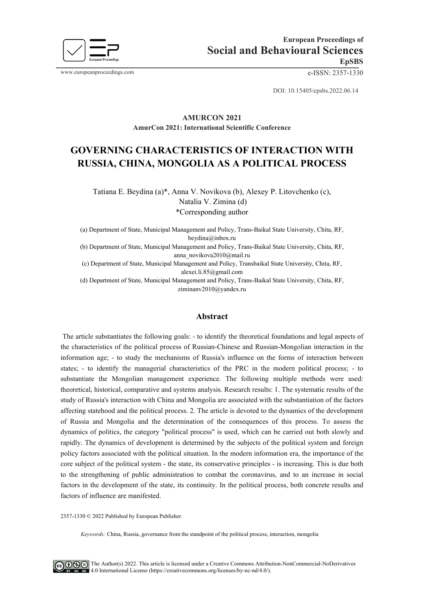

www.europeanproceedings.com e-ISSN: 2357-1330

DOI: 10.15405/epsbs.2022.06.14

#### **AMURCON 2021 AmurCon 2021: International Scientific Conference**

# **GOVERNING CHARACTERISTICS OF INTERACTION WITH RUSSIA, CHINA, MONGOLIA AS A POLITICAL PROCESS**

Tatiana E. Beydina (a)\*, Anna V. Novikova (b), Alexey P. Litovchenko (c), Natalia V. Zimina (d) \*Corresponding author

(a) Department of State, Municipal Management and Policy, Trans-Baikal State University, Chita, RF, beydina@inbox.ru

(b) Department of State, Municipal Management and Policy, Trans-Baikal State University, Chita, RF, anna\_novikova2010@mail.ru

(c) Department of State, Municipal Management and Policy, Transbaikal State University, Chita, RF, alexei.li.85@gmail.com

(d) Department of State, Municipal Management and Policy, Trans-Baikal State University, Chita, RF, ziminanv2010@yandex.ru

#### **Abstract**

The article substantiates the following goals: - to identify the theoretical foundations and legal aspects of the characteristics of the political process of Russian-Chinese and Russian-Mongolian interaction in the information age; - to study the mechanisms of Russia's influence on the forms of interaction between states; - to identify the managerial characteristics of the PRC in the modern political process; - to substantiate the Mongolian management experience. The following multiple methods were used: theoretical, historical, comparative and systems analysis. Research results: 1. The systematic results of the study of Russia's interaction with China and Mongolia are associated with the substantiation of the factors affecting statehood and the political process. 2. The article is devoted to the dynamics of the development of Russia and Mongolia and the determination of the consequences of this process. To assess the dynamics of politics, the category "political process" is used, which can be carried out both slowly and rapidly. The dynamics of development is determined by the subjects of the political system and foreign policy factors associated with the political situation. In the modern information era, the importance of the core subject of the political system - the state, its conservative principles - is increasing. This is due both to the strengthening of public administration to combat the coronavirus, and to an increase in social factors in the development of the state, its continuity. In the political process, both concrete results and factors of influence are manifested.

2357-1330 © 2022 Published by European Publisher.

*Keywords:* China, Russia, governance from the standpoint of the political process, interaction, mongolia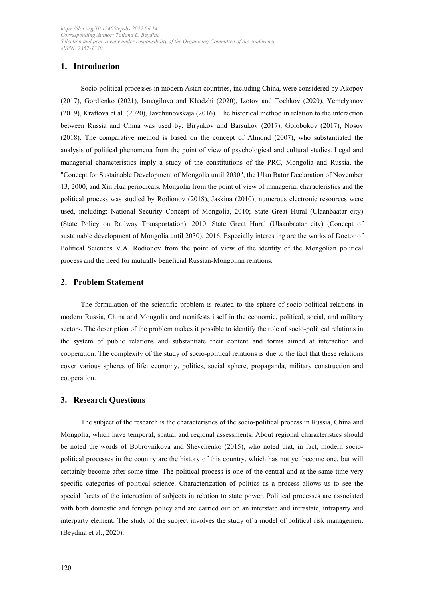# **1. Introduction**

Socio-political processes in modern Asian countries, including China, were considered by Akopov (2017), Gordienko (2021), Ismagilova and Khadzhi (2020), Izotov and Tochkov (2020), Yemelyanov (2019), Kraftova et al. (2020), Javchunovskaja (2016). The historical method in relation to the interaction between Russia and China was used by: Biryukov and Barsukov (2017), Golobokov (2017), Nosov (2018). The comparative method is based on the concept of Almond (2007), who substantiated the analysis of political phenomena from the point of view of psychological and cultural studies. Legal and managerial characteristics imply a study of the constitutions of the PRC, Mongolia and Russia, the "Concept for Sustainable Development of Mongolia until 2030", the Ulan Bator Declaration of November 13, 2000, and Xin Hua periodicals. Mongolia from the point of view of managerial characteristics and the political process was studied by Rodionov (2018), Jaskina (2010), numerous electronic resources were used, including: National Security Concept of Mongolia, 2010; State Great Hural (Ulaanbaatar city) (State Policy on Railway Transportation), 2010; State Great Hural (Ulaanbaatar city) (Concept of sustainable development of Mongolia until 2030), 2016. Especially interesting are the works of Doctor of Political Sciences V.A. Rodionov from the point of view of the identity of the Mongolian political process and the need for mutually beneficial Russian-Mongolian relations.

#### **2. Problem Statement**

The formulation of the scientific problem is related to the sphere of socio-political relations in modern Russia, China and Mongolia and manifests itself in the economic, political, social, and military sectors. The description of the problem makes it possible to identify the role of socio-political relations in the system of public relations and substantiate their content and forms aimed at interaction and cooperation. The complexity of the study of socio-political relations is due to the fact that these relations cover various spheres of life: economy, politics, social sphere, propaganda, military construction and cooperation.

#### **3. Research Questions**

The subject of the research is the characteristics of the socio-political process in Russia, China and Mongolia, which have temporal, spatial and regional assessments. About regional characteristics should be noted the words of Bobrovnikova and Shevchenko (2015), who noted that, in fact, modern sociopolitical processes in the country are the history of this country, which has not yet become one, but will certainly become after some time. The political process is one of the central and at the same time very specific categories of political science. Characterization of politics as a process allows us to see the special facets of the interaction of subjects in relation to state power. Political processes are associated with both domestic and foreign policy and are carried out on an interstate and intrastate, intraparty and interparty element. The study of the subject involves the study of a model of political risk management (Beydina et al., 2020).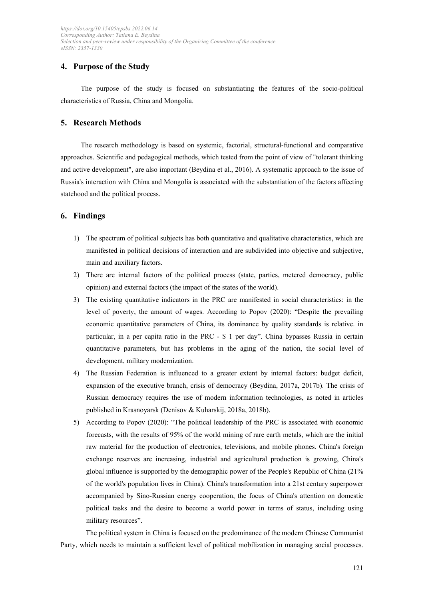# **4. Purpose of the Studу**

The purpose of the study is focused on substantiating the features of the socio-political characteristics of Russia, China and Mongolia.

# **5. Research Methods**

The research methodology is based on systemic, factorial, structural-functional and comparative approaches. Scientific and pedagogical methods, which tested from the point of view of "tolerant thinking and active development", are also important (Beydina et al., 2016). A systematic approach to the issue of Russia's interaction with China and Mongolia is associated with the substantiation of the factors affecting statehood and the political process.

## **6. Findings**

- 1) The spectrum of political subjects has both quantitative and qualitative characteristics, which are manifested in political decisions of interaction and are subdivided into objective and subjective, main and auxiliary factors.
- 2) There are internal factors of the political process (state, parties, metered democracy, public opinion) and external factors (the impact of the states of the world).
- 3) The existing quantitative indicators in the PRC are manifested in social characteristics: in the level of poverty, the amount of wages. According to Popov (2020): "Despite the prevailing economic quantitative parameters of China, its dominance by quality standards is relative. in particular, in a per capita ratio in the PRC - \$ 1 per day". China bypasses Russia in certain quantitative parameters, but has problems in the aging of the nation, the social level of development, military modernization.
- 4) The Russian Federation is influenced to a greater extent by internal factors: budget deficit, expansion of the executive branch, crisis of democracy (Beydina, 2017a, 2017b). The crisis of Russian democracy requires the use of modern information technologies, as noted in articles published in Krasnoyarsk (Denisov & Kuharskij, 2018a, 2018b).
- 5) According to Popov (2020): "The political leadership of the PRC is associated with economic forecasts, with the results of 95% of the world mining of rare earth metals, which are the initial raw material for the production of electronics, televisions, and mobile phones. China's foreign exchange reserves are increasing, industrial and agricultural production is growing, China's global influence is supported by the demographic power of the People's Republic of China (21% of the world's population lives in China). China's transformation into a 21st century superpower accompanied by Sino-Russian energy cooperation, the focus of China's attention on domestic political tasks and the desire to become a world power in terms of status, including using military resources".

The political system in China is focused on the predominance of the modern Chinese Communist Party, which needs to maintain a sufficient level of political mobilization in managing social processes.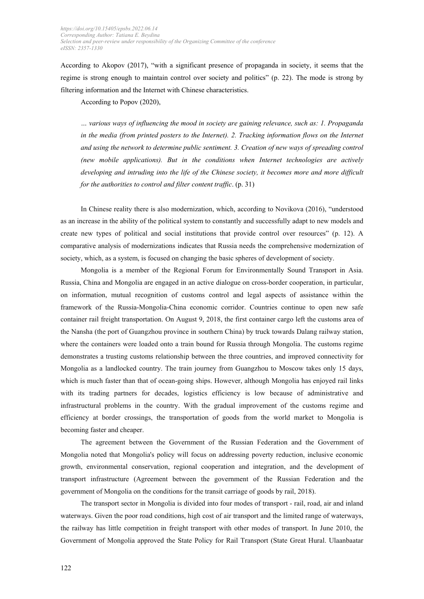According to Akopov (2017), "with a significant presence of propaganda in society, it seems that the regime is strong enough to maintain control over society and politics" (p. 22). The mode is strong by filtering information and the Internet with Chinese characteristics.

According to Popov (2020),

*… various ways of influencing the mood in society are gaining relevance, such as: 1. Propaganda*  in the media (from printed posters to the Internet). 2. Tracking information flows on the Internet *and using the network to determine public sentiment. 3. Creation of new ways of spreading control (new mobile applications). But in the conditions when Internet technologies are actively developing and intruding into the life of the Chinese society, it becomes more and more difficult for the authorities to control and filter content traffic*. (p. 31)

In Chinese reality there is also modernization, which, according to Novikova (2016), "understood as an increase in the ability of the political system to constantly and successfully adapt to new models and create new types of political and social institutions that provide control over resources" (p. 12). A comparative analysis of modernizations indicates that Russia needs the comprehensive modernization of society, which, as a system, is focused on changing the basic spheres of development of society.

Mongolia is a member of the Regional Forum for Environmentally Sound Transport in Asia. Russia, China and Mongolia are engaged in an active dialogue on cross-border cooperation, in particular, on information, mutual recognition of customs control and legal aspects of assistance within the framework of the Russia-Mongolia-China economic corridor. Countries continue to open new safe container rail freight transportation. On August 9, 2018, the first container cargo left the customs area of the Nansha (the port of Guangzhou province in southern China) by truck towards Dalang railway station, where the containers were loaded onto a train bound for Russia through Mongolia. The customs regime demonstrates a trusting customs relationship between the three countries, and improved connectivity for Mongolia as a landlocked country. The train journey from Guangzhou to Moscow takes only 15 days, which is much faster than that of ocean-going ships. However, although Mongolia has enjoyed rail links with its trading partners for decades, logistics efficiency is low because of administrative and infrastructural problems in the country. With the gradual improvement of the customs regime and efficiency at border crossings, the transportation of goods from the world market to Mongolia is becoming faster and cheaper.

The agreement between the Government of the Russian Federation and the Government of Mongolia noted that Mongolia's policy will focus on addressing poverty reduction, inclusive economic growth, environmental conservation, regional cooperation and integration, and the development of transport infrastructure (Agreement between the government of the Russian Federation and the government of Mongolia on the conditions for the transit carriage of goods by rail, 2018).

The transport sector in Mongolia is divided into four modes of transport - rail, road, air and inland waterways. Given the poor road conditions, high cost of air transport and the limited range of waterways, the railway has little competition in freight transport with other modes of transport. In June 2010, the Government of Mongolia approved the State Policy for Rail Transport (State Great Hural. Ulaanbaatar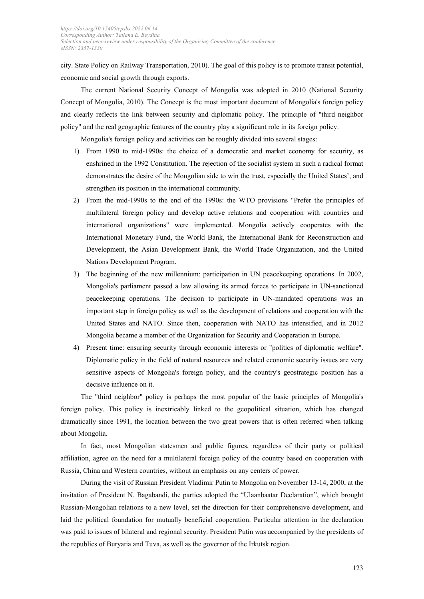city. State Policy on Railway Transportation, 2010). The goal of this policy is to promote transit potential, economic and social growth through exports.

The current National Security Concept of Mongolia was adopted in 2010 (National Security Concept of Mongolia, 2010). The Concept is the most important document of Mongolia's foreign policy and clearly reflects the link between security and diplomatic policy. The principle of "third neighbor policy" and the real geographic features of the country play a significant role in its foreign policy.

Mongolia's foreign policy and activities can be roughly divided into several stages:

- 1) From 1990 to mid-1990s: the choice of a democratic and market economy for security, as enshrined in the 1992 Constitution. The rejection of the socialist system in such a radical format demonstrates the desire of the Mongolian side to win the trust, especially the United States', and strengthen its position in the international community.
- 2) From the mid-1990s to the end of the 1990s: the WTO provisions "Prefer the principles of multilateral foreign policy and develop active relations and cooperation with countries and international organizations" were implemented. Mongolia actively cooperates with the International Monetary Fund, the World Bank, the International Bank for Reconstruction and Development, the Asian Development Bank, the World Trade Organization, and the United Nations Development Program.
- 3) The beginning of the new millennium: participation in UN peacekeeping operations. In 2002, Mongolia's parliament passed a law allowing its armed forces to participate in UN-sanctioned peacekeeping operations. The decision to participate in UN-mandated operations was an important step in foreign policy as well as the development of relations and cooperation with the United States and NATO. Since then, cooperation with NATO has intensified, and in 2012 Mongolia became a member of the Organization for Security and Cooperation in Europe.
- 4) Present time: ensuring security through economic interests or "politics of diplomatic welfare". Diplomatic policy in the field of natural resources and related economic security issues are very sensitive aspects of Mongolia's foreign policy, and the country's geostrategic position has a decisive influence on it.

The "third neighbor" policy is perhaps the most popular of the basic principles of Mongolia's foreign policy. This policy is inextricably linked to the geopolitical situation, which has changed dramatically since 1991, the location between the two great powers that is often referred when talking about Mongolia.

In fact, most Mongolian statesmen and public figures, regardless of their party or political affiliation, agree on the need for a multilateral foreign policy of the country based on cooperation with Russia, China and Western countries, without an emphasis on any centers of power.

During the visit of Russian President Vladimir Putin to Mongolia on November 13-14, 2000, at the invitation of President N. Bagabandi, the parties adopted the "Ulaanbaatar Declaration", which brought Russian-Mongolian relations to a new level, set the direction for their comprehensive development, and laid the political foundation for mutually beneficial cooperation. Particular attention in the declaration was paid to issues of bilateral and regional security. President Putin was accompanied by the presidents of the republics of Buryatia and Tuva, as well as the governor of the Irkutsk region.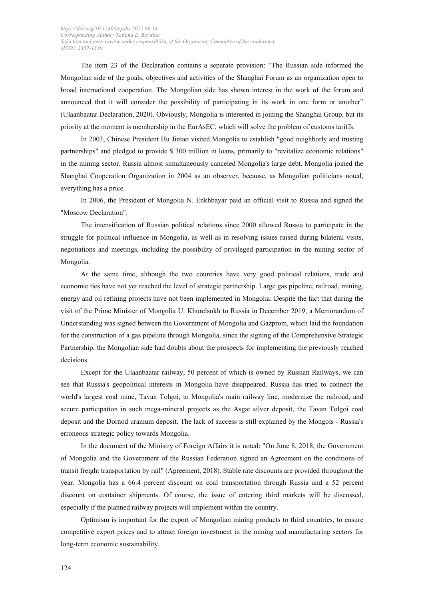The item 23 of the Declaration contains a separate provision: "The Russian side informed the Mongolian side of the goals, objectives and activities of the Shanghai Forum as an organization open to broad international cooperation. The Mongolian side has shown interest in the work of the forum and announced that it will consider the possibility of participating in its work in one form or another" (Ulaanbaatar Declaration, 2020). Obviously, Mongolia is interested in joining the Shanghai Group, but its priority at the moment is membership in the EurAsEC, which will solve the problem of customs tariffs.

In 2003, Chinese President Hu Jintao visited Mongolia to establish "good neighborly and trusting partnerships" and pledged to provide \$ 300 million in loans, primarily to "revitalize economic relations" in the mining sector. Russia almost simultaneously canceled Mongolia's large debt. Mongolia joined the Shanghai Cooperation Organization in 2004 as an observer, because, as Mongolian politicians noted, everything has a price.

In 2006, the President of Mongolia N. Enkhbayar paid an official visit to Russia and signed the "Moscow Declaration".

The intensification of Russian political relations since 2000 allowed Russia to participate in the struggle for political influence in Mongolia, as well as in resolving issues raised during bilateral visits, negotiations and meetings, including the possibility of privileged participation in the mining sector of Mongolia.

At the same time, although the two countries have very good political relations, trade and economic ties have not yet reached the level of strategic partnership. Large gas pipeline, railroad, mining, energy and oil refining projects have not been implemented in Mongolia. Despite the fact that during the visit of the Prime Minister of Mongolia U. Khurelsukh to Russia in December 2019, a Memorandum of Understanding was signed between the Government of Mongolia and Gazprom, which laid the foundation for the construction of a gas pipeline through Mongolia, since the signing of the Comprehensive Strategic Partnership, the Mongolian side had doubts about the prospects for implementing the previously reached decisions.

Except for the Ulaanbaatar railway, 50 percent of which is owned by Russian Railways, we can see that Russia's geopolitical interests in Mongolia have disappeared. Russia has tried to connect the world's largest coal mine, Tavan Tolgoi, to Mongolia's main railway line, modernize the railroad, and secure participation in such mega-mineral projects as the Asgat silver deposit, the Tavan Tolgoi coal deposit and the Dornod uranium deposit. The lack of success is still explained by the Mongols - Russia's erroneous strategic policy towards Mongolia.

In the document of the Ministry of Foreign Affairs it is noted: "On June 8, 2018, the Government of Mongolia and the Government of the Russian Federation signed an Agreement on the conditions of transit freight transportation by rail" (Agreement, 2018). Stable rate discounts are provided throughout the year. Mongolia has a 66.4 percent discount on coal transportation through Russia and a 52 percent discount on container shipments. Of course, the issue of entering third markets will be discussed, especially if the planned railway projects will implement within the country.

Optimism is important for the export of Mongolian mining products to third countries, to ensure competitive export prices and to attract foreign investment in the mining and manufacturing sectors for long-term economic sustainability.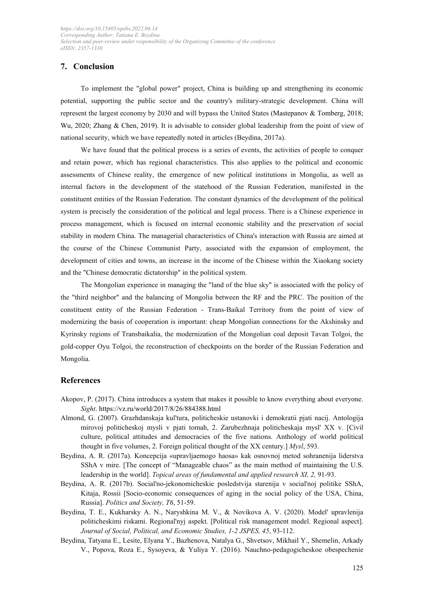# **7. Conclusion**

To implement the "global power" project, China is building up and strengthening its economic potential, supporting the public sector and the country's military-strategic development. China will represent the largest economy by 2030 and will bypass the United States (Mastepanov & Tomberg, 2018; Wu, 2020; Zhang & Chen, 2019). It is advisable to consider global leadership from the point of view of national security, which we have repeatedly noted in articles (Beydina, 2017a).

We have found that the political process is a series of events, the activities of people to conquer and retain power, which has regional characteristics. This also applies to the political and economic assessments of Chinese reality, the emergence of new political institutions in Mongolia, as well as internal factors in the development of the statehood of the Russian Federation, manifested in the constituent entities of the Russian Federation. The constant dynamics of the development of the political system is precisely the consideration of the political and legal process. There is a Chinese experience in process management, which is focused on internal economic stability and the preservation of social stability in modern China. The managerial characteristics of China's interaction with Russia are aimed at the course of the Chinese Communist Party, associated with the expansion of employment, the development of cities and towns, an increase in the income of the Chinese within the Xiaokang society and the "Chinese democratic dictatorship" in the political system.

The Mongolian experience in managing the "land of the blue sky" is associated with the policy of the "third neighbor" and the balancing of Mongolia between the RF and the PRC. The position of the constituent entity of the Russian Federation - Trans-Baikal Territory from the point of view of modernizing the basis of cooperation is important: cheap Mongolian connections for the Akshinsky and Kyrinsky regions of Transbaikalia, the modernization of the Mongolian coal deposit Tavan Tolgoi, the gold-copper Oyu Tolgoi, the reconstruction of checkpoints on the border of the Russian Federation and Mongolia.

#### **References**

- Akopov, P. (2017). China introduces a system that makes it possible to know everything about everyone. *Sight*.<https://vz.ru/world/2017/8/26/884388.html>
- Almond, G. (2007). Grazhdanskaja kul'tura, politicheskie ustanovki i demokratii pjati nacij. Antologija mirovoj politicheskoj mysli v pjati tomah, 2. Zarubezhnaja politicheskaja mysl' XX v. [Civil culture, political attitudes and democracies of the five nations. Anthology of world political thought in five volumes, 2. Foreign political thought of the XX century.] *Mysl*, 593.
- Beydina, A. R. (2017a). Koncepcija «upravljaemogo haosa» kak osnovnoj metod sohranenija liderstva SShA v mire. [The concept of "Manageable chaos" as the main method of maintaining the U.S. leadership in the world]. *Topical areas of fundamental and applied research XI, 2,* 91-93.
- Beydina, A. R. (2017b). Social'no-jekonomicheskie posledstvija starenija v social'noj politike SShA, Kitaja, Rossii [Socio-economic consequences of aging in the social policy of the USA, China, Russia]. *Politics and Society, T6*, 51-59.
- Beydina, T. E., Kukharsky A. N., Naryshkina M. V., & Novikova A. V. (2020). Model' upravlenija politicheskimi riskami. Regional'nyj aspekt. [Political risk management model. Regional aspect]. *Journal of Social, Political, and Economic Studies, 1-2 JSPES, 45*, 93-112.
- Beydina, Tatyana E., Lesite, Elyana Y., Bazhenova, Natalya G., Shvetsov, Mikhail Y., Shemelin, Arkady V., Popova, Roza E., Sysoyeva, & Yuliya Y. (2016). Nauchno-pedagogicheskoe obespechenie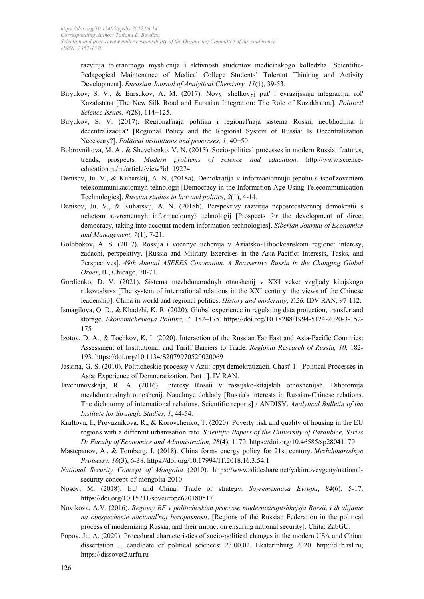razvitija tolerantnogo myshlenija i aktivnosti studentov medicinskogo kolledzha [Scientific-Pedagogical Maintenance of Medical College Students' Tolerant Thinking and Activity Development]. *Eurasian Journal of Analytical Chemistry, 11*(1), 39-53.

- Biryukov, S. V., & Barsukov, A. M. (2017). Novyj shelkovyj put' i evrazijskaja integracija: rol' Kazahstana [The New Silk Road and Eurasian Integration: The Role of Kazakhstan.]. *Political Science Issues, 4*(28), 114−125.
- Biryukov, S. V. (2017). Regional'naja politika i regional'naja sistema Rossii: neobhodima li decentralizacija? [Regional Policy and the Regional System of Russia: Is Decentralization Necessary?]. *Political institutions and processes, 1*, 40−50.
- Bobrovnikova, M. A., & Shevchenko, V. N. (2015). Socio-political processes in modern Russia: features, trends, prospects. *Modern problems of science and education*. http://www.scienceeducation.ru/ru/article/view?id=19274
- Denisov, Ju. V., & Kuharskij, A. N. (2018a). Demokratija v informacionnuju jepohu s ispol'zovaniem telekommunikacionnyh tehnologij [Democracy in the Information Age Using Telecommunication Technologies]. *Russian studies in law and politics, 2*(1), 4-14.
- Denisov, Ju. V., & Kuharskij, A. N. (2018b). Perspektivy razvitija neposredstvennoj demokratii s uchetom sovremennyh informacionnyh tehnologij [Prospects for the development of direct democracy, taking into account modern information technologies]. *Siberian Journal of Economics and Management, 7*(1), 7-21.
- Golobokov, A. S. (2017). Rossija i voennye uchenija v Aziatsko-Tihookeanskom regione: interesy, zadachi, perspektivy. [Russia and Military Exercises in the Asia-Pacific: Interests, Tasks, and Perspectives]. *49th Annual ASEEES Convention. A Reassertive Russia in the Changing Global Order*, IL, Chicago, 70-71.
- Gordienko, D. V. (2021). Sistema mezhdunarodnyh otnoshenij v XXI veke: vzgljady kitajskogo rukovodstva [The system of international relations in the XXI century: the views of the Chinese leadership]. China in world and regional politics. *History and modernity*, *T.26.* IDV RAN, 97-112.
- Ismagilova, O. D., & Khadzhi, K. R. (2020). Global experience in regulating data protection, transfer and storage. *[Ekonomicheskaya](https://www.scopus.com/sourceid/21100825345) Politika, 3*, 152–175. https://doi.org/10.18288/1994-5124-2020-3-152- 175
- Izotov, D. A., & Tochkov, K. I. (2020). Interaction of the Russian Far East and Asia-Pacific Countries: Assessment of Institutional and Tariff Barriers to Trade. *Regional [Research](https://www.scopus.com/sourceid/21100370022) of Russia, 10*, 182- 193. https://doi.org/10.1134/S2079970520020069
- Jaskina, G. S. (2010). Politicheskie processy v Azii: opyt demokratizacii. Chast' 1: [Political Processes in Asia: Experience of Democratization. Part 1]. IV RAN.
- Javchunovskaja, R. A. (2016). Interesy Rossii v rossijsko-kitajskih otnoshenijah. Dihotomija mezhdunarodnyh otnoshenij. Nauchnye doklady [Russia's interests in Russian-Chinese relations. The dichotomy of international relations. Scientific reports] / ANDISY. *Analytical Bulletin of the Institute for Strategic Studies, 1*, 44-54.
- Kraftova, I., Provazníkova, R., & Korovchenko, T. (2020). Poverty risk and quality of housing in the EU regions with a different urbanisation rate. *Scientific Papers of the University of [Pardubice,](https://www.scopus.com/sourceid/21100390414) Series D: Faculty of Economics and [Administration,](https://www.scopus.com/sourceid/21100390414) 28*(4), 1170. https://doi.org/10.46585/sp28041170
- Mastepanov, A., & Tomberg, I. (2018). China forms energy policy for 21st century. *Mezhdunarodnye Protsessy*, *16*(3), 6-38. https://doi.org/10.17994/IT.2018.16.3.54.1
- *National Security Concept of Mongolia* (2010). https://www.slideshare.net/yakimovevgeny/nationalsecurity-concept-of-mongolia-2010
- Nosov, M. (2018). EU and China: Trade or strategy. *Sovremennaya Evropa*, *84*(6), 5-17. https://doi.org/10.15211/soveurope620180517
- Novikova, A.V. (2016). *Regiony RF v politicheskom processe modernizirujushhejsja Rossii, i ih vlijanie na obespechenie nacional'noj bezopasnosti*. [Regions of the Russian Federation in the political process of modernizing Russia, and their impact on ensuring national security]. Chita: ZabGU.
- Popov, Ju. A. (2020). Procedural characteristics of socio-political changes in the modern USA and China: dissertation ... candidate of political sciences: 23.00.02. Ekaterinburg 2020. [http://dlib.rsl.ru;](http://dlib.rsl.ru/) https://dissovet2.urfu.ru